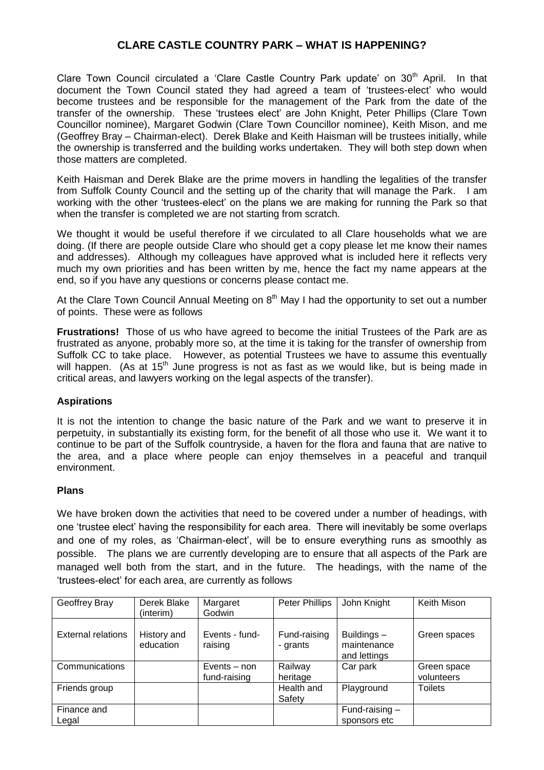# **CLARE CASTLE COUNTRY PARK – WHAT IS HAPPENING?**

Clare Town Council circulated a 'Clare Castle Country Park update' on 30<sup>th</sup> April. In that document the Town Council stated they had agreed a team of 'trustees-elect' who would become trustees and be responsible for the management of the Park from the date of the transfer of the ownership. These 'trustees elect' are John Knight, Peter Phillips (Clare Town Councillor nominee), Margaret Godwin (Clare Town Councillor nominee), Keith Mison, and me (Geoffrey Bray – Chairman-elect). Derek Blake and Keith Haisman will be trustees initially, while the ownership is transferred and the building works undertaken. They will both step down when those matters are completed.

Keith Haisman and Derek Blake are the prime movers in handling the legalities of the transfer from Suffolk County Council and the setting up of the charity that will manage the Park. I am working with the other 'trustees-elect' on the plans we are making for running the Park so that when the transfer is completed we are not starting from scratch.

We thought it would be useful therefore if we circulated to all Clare households what we are doing. (If there are people outside Clare who should get a copy please let me know their names and addresses). Although my colleagues have approved what is included here it reflects very much my own priorities and has been written by me, hence the fact my name appears at the end, so if you have any questions or concerns please contact me.

At the Clare Town Council Annual Meeting on  $8<sup>th</sup>$  May I had the opportunity to set out a number of points. These were as follows

**Frustrations!** Those of us who have agreed to become the initial Trustees of the Park are as frustrated as anyone, probably more so, at the time it is taking for the transfer of ownership from Suffolk CC to take place. However, as potential Trustees we have to assume this eventually will happen. (As at 15<sup>th</sup> June progress is not as fast as we would like, but is being made in critical areas, and lawyers working on the legal aspects of the transfer).

#### **Aspirations**

It is not the intention to change the basic nature of the Park and we want to preserve it in perpetuity, in substantially its existing form, for the benefit of all those who use it. We want it to continue to be part of the Suffolk countryside, a haven for the flora and fauna that are native to the area, and a place where people can enjoy themselves in a peaceful and tranquil environment.

#### **Plans**

We have broken down the activities that need to be covered under a number of headings, with one 'trustee elect' having the responsibility for each area. There will inevitably be some overlaps and one of my roles, as 'Chairman-elect', will be to ensure everything runs as smoothly as possible. The plans we are currently developing are to ensure that all aspects of the Park are managed well both from the start, and in the future. The headings, with the name of the 'trustees-elect' for each area, are currently as follows

| Geoffrey Bray             | Derek Blake<br>(interim) | Margaret<br>Godwin             | Peter Phillips           | John Knight                                | Keith Mison               |
|---------------------------|--------------------------|--------------------------------|--------------------------|--------------------------------------------|---------------------------|
| <b>External relations</b> | History and<br>education | Events - fund-<br>raising      | Fund-raising<br>- grants | Buildings -<br>maintenance<br>and lettings | Green spaces              |
| Communications            |                          | Events $-$ non<br>fund-raising | Railway<br>heritage      | Car park                                   | Green space<br>volunteers |
| Friends group             |                          |                                | Health and<br>Safety     | Playground                                 | <b>Toilets</b>            |
| Finance and<br>Legal      |                          |                                |                          | Fund-raising $-$<br>sponsors etc           |                           |